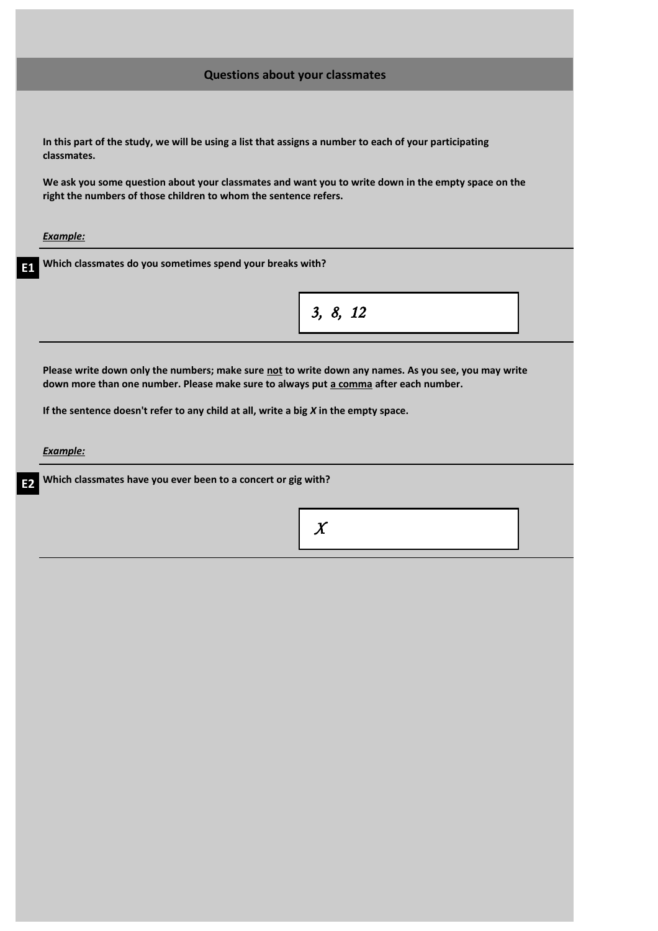| <b>Questions about your classmates</b>                                                                                                                                                       |
|----------------------------------------------------------------------------------------------------------------------------------------------------------------------------------------------|
|                                                                                                                                                                                              |
| In this part of the study, we will be using a list that assigns a number to each of your participating<br>classmates.                                                                        |
| We ask you some question about your classmates and want you to write down in the empty space on the<br>right the numbers of those children to whom the sentence refers.                      |
| <b>Example:</b>                                                                                                                                                                              |
| Which classmates do you sometimes spend your breaks with?                                                                                                                                    |
| 3, 8, 12                                                                                                                                                                                     |
| Please write down only the numbers; make sure not to write down any names. As you see, you may write<br>down more than one number. Please make sure to always put a comma after each number. |
| If the sentence doesn't refer to any child at all, write a big $X$ in the empty space.                                                                                                       |
| <b>Example:</b>                                                                                                                                                                              |
| Which classmates have you ever been to a concert or gig with?                                                                                                                                |
| $\boldsymbol{X}$                                                                                                                                                                             |
|                                                                                                                                                                                              |
|                                                                                                                                                                                              |